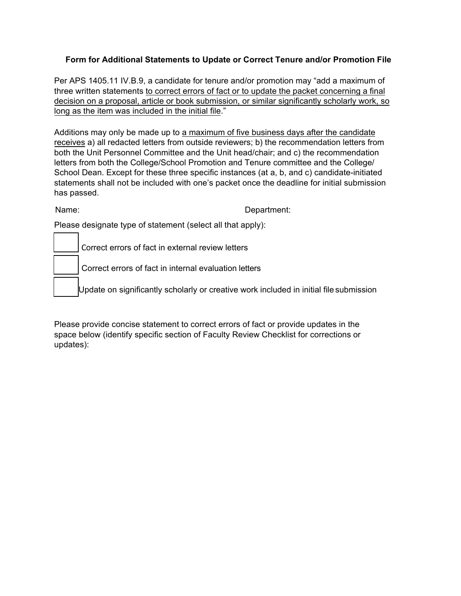## **Form for Additional Statements to Update or Correct Tenure and/or Promotion File**

Per APS 1405.11 IV.B.9, a candidate for tenure and/or promotion may "add a maximum of three written statements to correct errors of fact or to update the packet concerning a final decision on a proposal, article or book submission, or similar significantly scholarly work, so long as the item was included in the initial file."

Additions may only be made up to a maximum of five business days after the candidate receives a) all redacted letters from outside reviewers; b) the recommendation letters from both the Unit Personnel Committee and the Unit head/chair; and c) the recommendation letters from both the College/School Promotion and Tenure committee and the College/ School Dean. Except for these three specific instances (at a, b, and c) candidate-initiated statements shall not be included with one's packet once the deadline for initial submission has passed.

Name: **Name:** Name: **Name:** 2008. **Department:** 2008. **Department:** 2008. **Department:** 

Please designate type of statement (select all that apply):

Correct errors of fact in external review letters

Correct errors of fact in internal evaluation letters

Update on significantly scholarly or creative work included in initial file submission

Please provide concise statement to correct errors of fact or provide updates in the space below (identify specific section of Faculty Review Checklist for corrections or updates):